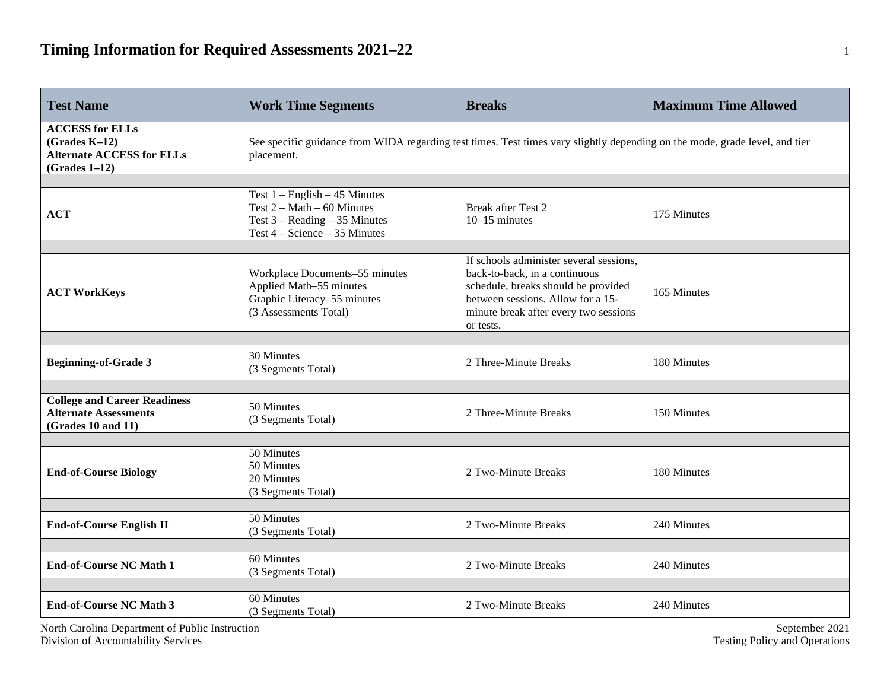| <b>Test Name</b>                                                                                 | <b>Work Time Segments</b>                                                                                                                 | <b>Breaks</b>                                                                                                                                                                                              | <b>Maximum Time Allowed</b> |  |  |  |  |
|--------------------------------------------------------------------------------------------------|-------------------------------------------------------------------------------------------------------------------------------------------|------------------------------------------------------------------------------------------------------------------------------------------------------------------------------------------------------------|-----------------------------|--|--|--|--|
| <b>ACCESS for ELLs</b><br>$(Grades K-12)$<br><b>Alternate ACCESS for ELLs</b><br>$(Grades 1-12)$ | See specific guidance from WIDA regarding test times. Test times vary slightly depending on the mode, grade level, and tier<br>placement. |                                                                                                                                                                                                            |                             |  |  |  |  |
|                                                                                                  |                                                                                                                                           |                                                                                                                                                                                                            |                             |  |  |  |  |
| <b>ACT</b>                                                                                       | Test $1 -$ English $-45$ Minutes<br>Test $2 - Math - 60$ Minutes<br>Test $3 - Reading - 35$ Minutes<br>Test $4 - Science - 35$ Minutes    | <b>Break after Test 2</b><br>$10-15$ minutes                                                                                                                                                               | 175 Minutes                 |  |  |  |  |
|                                                                                                  |                                                                                                                                           |                                                                                                                                                                                                            |                             |  |  |  |  |
| <b>ACT WorkKeys</b>                                                                              | Workplace Documents-55 minutes<br>Applied Math-55 minutes<br>Graphic Literacy-55 minutes<br>(3 Assessments Total)                         | If schools administer several sessions,<br>back-to-back, in a continuous<br>schedule, breaks should be provided<br>between sessions. Allow for a 15-<br>minute break after every two sessions<br>or tests. | 165 Minutes                 |  |  |  |  |
|                                                                                                  |                                                                                                                                           |                                                                                                                                                                                                            |                             |  |  |  |  |
| <b>Beginning-of-Grade 3</b>                                                                      | 30 Minutes<br>(3 Segments Total)                                                                                                          | 2 Three-Minute Breaks                                                                                                                                                                                      | 180 Minutes                 |  |  |  |  |
|                                                                                                  |                                                                                                                                           |                                                                                                                                                                                                            |                             |  |  |  |  |
| <b>College and Career Readiness</b><br><b>Alternate Assessments</b><br>(Grades 10 and 11)        | 50 Minutes<br>(3 Segments Total)                                                                                                          | 2 Three-Minute Breaks                                                                                                                                                                                      | 150 Minutes                 |  |  |  |  |
|                                                                                                  |                                                                                                                                           |                                                                                                                                                                                                            |                             |  |  |  |  |
| <b>End-of-Course Biology</b>                                                                     | 50 Minutes<br>50 Minutes<br>20 Minutes<br>(3 Segments Total)                                                                              | 2 Two-Minute Breaks                                                                                                                                                                                        | 180 Minutes                 |  |  |  |  |
|                                                                                                  |                                                                                                                                           |                                                                                                                                                                                                            |                             |  |  |  |  |
| <b>End-of-Course English II</b>                                                                  | 50 Minutes<br>(3 Segments Total)                                                                                                          | 2 Two-Minute Breaks                                                                                                                                                                                        | 240 Minutes                 |  |  |  |  |
|                                                                                                  |                                                                                                                                           |                                                                                                                                                                                                            |                             |  |  |  |  |
| <b>End-of-Course NC Math 1</b>                                                                   | 60 Minutes<br>(3 Segments Total)                                                                                                          | 2 Two-Minute Breaks                                                                                                                                                                                        | 240 Minutes                 |  |  |  |  |
|                                                                                                  |                                                                                                                                           |                                                                                                                                                                                                            |                             |  |  |  |  |
| <b>End-of-Course NC Math 3</b>                                                                   | 60 Minutes<br>(3 Segments Total)                                                                                                          | 2 Two-Minute Breaks                                                                                                                                                                                        | 240 Minutes                 |  |  |  |  |